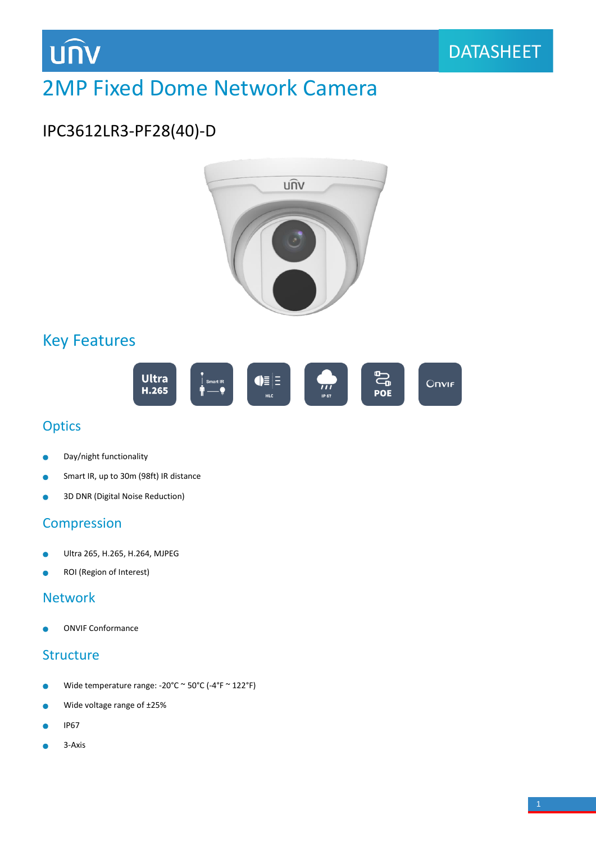

# 2MP Fixed Dome Network Camera

# IPC3612LR3-PF28(40)-D



## Key Features



## **Optics**

- Day/night functionality è
- Smart IR, up to 30m (98ft) IR distance Ċ
- ò 3D DNR (Digital Noise Reduction)

## **Compression**

- Ultra 265, H.265, H.264, MJPEG ٠
- ROI (Region of Interest)

## Network

ONVIF Conformance

## **Structure**

- Wide temperature range: -20°C ~ 50°C (-4°F ~ 122°F)  $\bullet$
- Wide voltage range of ±25% ò
- IP67 Ä
- 3-Axis۸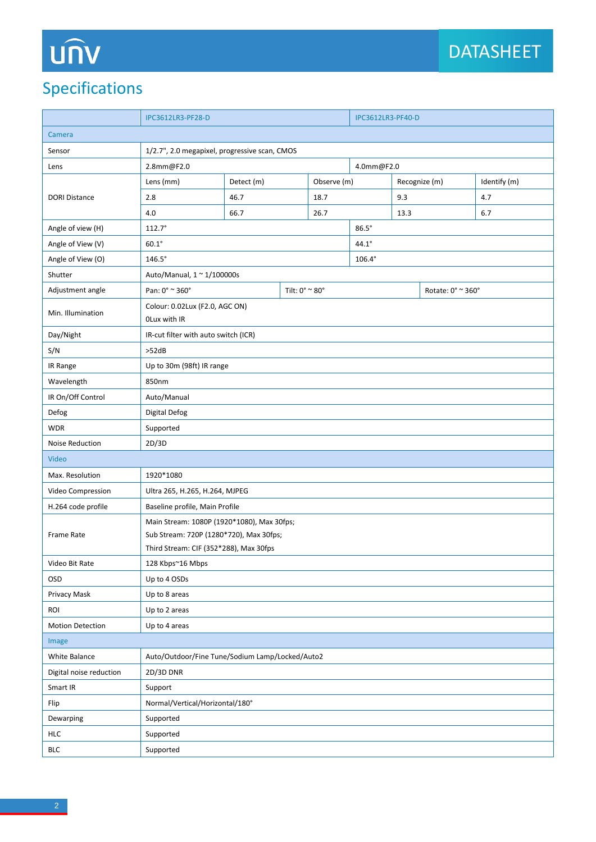# UN

# Specifications

|                                                         | <b>IPC3612LR3-PF28-D</b>                                   |            |  | <b>IPC3612LR3-PF40-D</b> |              |                   |               |              |
|---------------------------------------------------------|------------------------------------------------------------|------------|--|--------------------------|--------------|-------------------|---------------|--------------|
| Camera                                                  |                                                            |            |  |                          |              |                   |               |              |
| 1/2.7", 2.0 megapixel, progressive scan, CMOS<br>Sensor |                                                            |            |  |                          |              |                   |               |              |
| Lens                                                    | 2.8mm@F2.0<br>4.0mm@F2.0                                   |            |  |                          |              |                   |               |              |
|                                                         | Lens (mm)                                                  | Detect (m) |  | Observe (m)              |              |                   | Recognize (m) | Identify (m) |
| <b>DORI Distance</b>                                    | $2.8\,$                                                    | 46.7       |  | 18.7                     |              | 9.3               |               | 4.7          |
|                                                         | 4.0<br>66.7                                                |            |  | 26.7                     |              | 13.3              |               | 6.7          |
| Angle of view (H)                                       | $112.7^\circ$                                              |            |  |                          | $86.5^\circ$ |                   |               |              |
| Angle of View (V)                                       | $60.1^\circ$                                               |            |  |                          | $44.1^\circ$ |                   |               |              |
| Angle of View (O)                                       | $146.5^\circ$<br>$106.4^\circ$                             |            |  |                          |              |                   |               |              |
| Shutter                                                 | Auto/Manual, 1 ~ 1/100000s                                 |            |  |                          |              |                   |               |              |
| Adjustment angle                                        | Pan: 0° ~ 360°<br>Tilt: 0° ~ 80°                           |            |  |                          |              | Rotate: 0° ~ 360° |               |              |
| Min. Illumination                                       | Colour: 0.02Lux (F2.0, AGC ON)<br>OLux with IR             |            |  |                          |              |                   |               |              |
| Day/Night                                               | IR-cut filter with auto switch (ICR)                       |            |  |                          |              |                   |               |              |
| S/N                                                     | >52dB                                                      |            |  |                          |              |                   |               |              |
| IR Range                                                | Up to 30m (98ft) IR range                                  |            |  |                          |              |                   |               |              |
| Wavelength                                              | 850nm                                                      |            |  |                          |              |                   |               |              |
| IR On/Off Control                                       | Auto/Manual                                                |            |  |                          |              |                   |               |              |
| Defog                                                   | <b>Digital Defog</b>                                       |            |  |                          |              |                   |               |              |
| <b>WDR</b>                                              | Supported                                                  |            |  |                          |              |                   |               |              |
| Noise Reduction                                         | 2D/3D                                                      |            |  |                          |              |                   |               |              |
| Video                                                   |                                                            |            |  |                          |              |                   |               |              |
| Max. Resolution                                         | 1920*1080                                                  |            |  |                          |              |                   |               |              |
| Video Compression                                       | Ultra 265, H.265, H.264, MJPEG                             |            |  |                          |              |                   |               |              |
| H.264 code profile                                      | Baseline profile, Main Profile                             |            |  |                          |              |                   |               |              |
|                                                         | Main Stream: 1080P (1920*1080), Max 30fps;                 |            |  |                          |              |                   |               |              |
| <b>Frame Rate</b>                                       | Sub Stream: 720P (1280*720), Max 30fps;                    |            |  |                          |              |                   |               |              |
| Video Bit Rate                                          | Third Stream: CIF (352*288), Max 30fps<br>128 Kbps~16 Mbps |            |  |                          |              |                   |               |              |
| OSD                                                     | Up to 4 OSDs                                               |            |  |                          |              |                   |               |              |
| Privacy Mask                                            | Up to 8 areas                                              |            |  |                          |              |                   |               |              |
| ROI                                                     | Up to 2 areas                                              |            |  |                          |              |                   |               |              |
| <b>Motion Detection</b>                                 | Up to 4 areas                                              |            |  |                          |              |                   |               |              |
| Image                                                   |                                                            |            |  |                          |              |                   |               |              |
| White Balance                                           | Auto/Outdoor/Fine Tune/Sodium Lamp/Locked/Auto2            |            |  |                          |              |                   |               |              |
| Digital noise reduction                                 | 2D/3D DNR                                                  |            |  |                          |              |                   |               |              |
| Smart IR                                                | Support                                                    |            |  |                          |              |                   |               |              |
| Flip                                                    | Normal/Vertical/Horizontal/180°                            |            |  |                          |              |                   |               |              |
| Dewarping                                               | Supported                                                  |            |  |                          |              |                   |               |              |
| <b>HLC</b>                                              | Supported                                                  |            |  |                          |              |                   |               |              |
| <b>BLC</b>                                              | Supported                                                  |            |  |                          |              |                   |               |              |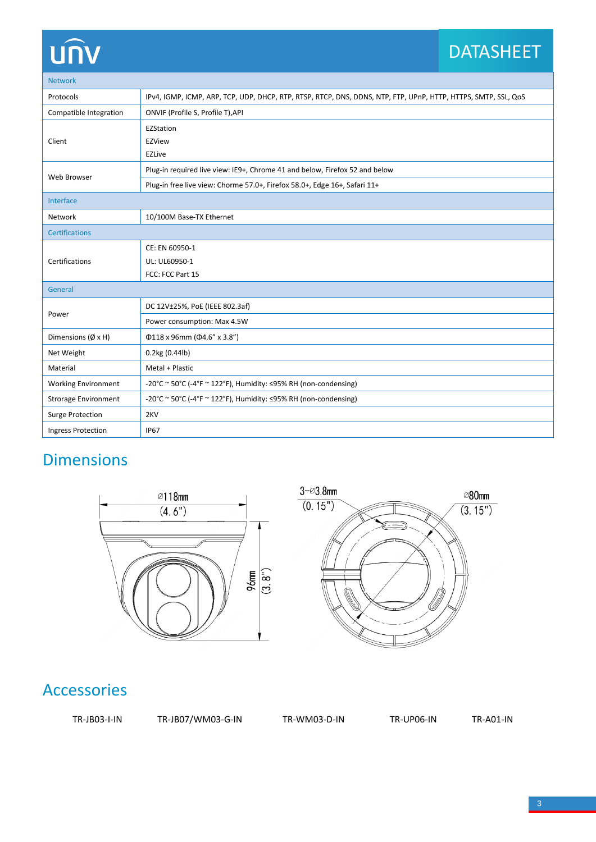# DATASHEET

Network

| <b>IVELVVUI N</b>             |                                                                                                                |  |  |  |  |
|-------------------------------|----------------------------------------------------------------------------------------------------------------|--|--|--|--|
| Protocols                     | IPv4, IGMP, ICMP, ARP, TCP, UDP, DHCP, RTP, RTSP, RTCP, DNS, DDNS, NTP, FTP, UPnP, HTTP, HTTPS, SMTP, SSL, QoS |  |  |  |  |
| Compatible Integration        | ONVIF (Profile S, Profile T), API                                                                              |  |  |  |  |
|                               | EZStation                                                                                                      |  |  |  |  |
| Client                        | EZView                                                                                                         |  |  |  |  |
|                               | <b>EZLive</b>                                                                                                  |  |  |  |  |
| Web Browser                   | Plug-in required live view: IE9+, Chrome 41 and below, Firefox 52 and below                                    |  |  |  |  |
|                               | Plug-in free live view: Chorme 57.0+, Firefox 58.0+, Edge 16+, Safari 11+                                      |  |  |  |  |
| Interface                     |                                                                                                                |  |  |  |  |
| Network                       | 10/100M Base-TX Ethernet                                                                                       |  |  |  |  |
| <b>Certifications</b>         |                                                                                                                |  |  |  |  |
| Certifications                | CE: EN 60950-1                                                                                                 |  |  |  |  |
|                               | UL: UL60950-1                                                                                                  |  |  |  |  |
|                               | FCC: FCC Part 15                                                                                               |  |  |  |  |
| General                       |                                                                                                                |  |  |  |  |
| Power                         | DC 12V±25%, PoE (IEEE 802.3af)                                                                                 |  |  |  |  |
|                               | Power consumption: Max 4.5W                                                                                    |  |  |  |  |
| Dimensions ( $\emptyset$ x H) | $\Phi$ 118 x 96mm ( $\Phi$ 4.6" x 3.8")                                                                        |  |  |  |  |
| Net Weight                    | $0.2$ kg $(0.44$ lb)                                                                                           |  |  |  |  |
| Material                      | Metal + Plastic                                                                                                |  |  |  |  |
| <b>Working Environment</b>    | -20°C ~ 50°C (-4°F ~ 122°F), Humidity: $\leq$ 95% RH (non-condensing)                                          |  |  |  |  |
| <b>Strorage Environment</b>   | -20°C ~ 50°C (-4°F ~ 122°F), Humidity: $\leq$ 95% RH (non-condensing)                                          |  |  |  |  |
| <b>Surge Protection</b>       | 2KV                                                                                                            |  |  |  |  |
| <b>Ingress Protection</b>     | <b>IP67</b>                                                                                                    |  |  |  |  |

# Dimensions



## Accessories

TR-JB03-I-IN TR-JB07/WM03-G-IN TR-WM03-D-IN TR-UP06-IN TR-A01-IN